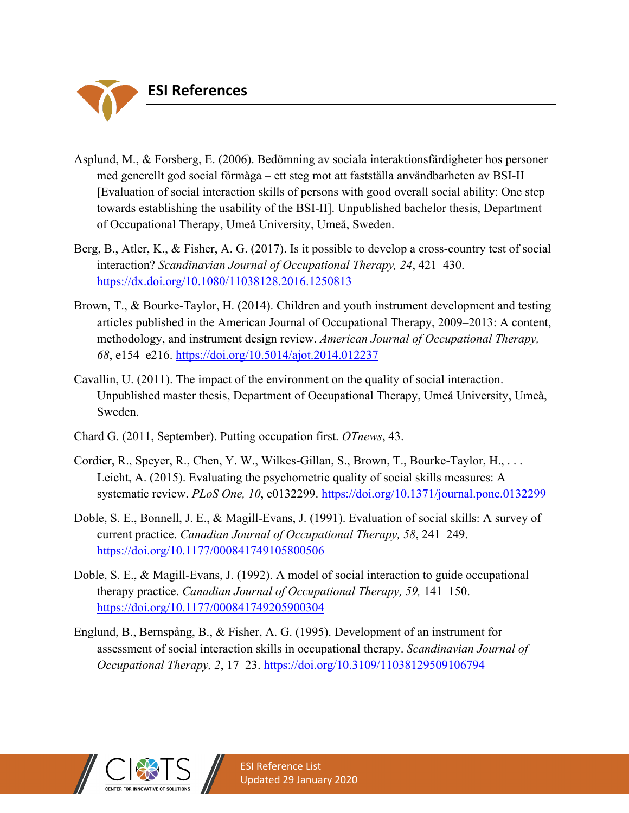

- Asplund, M., & Forsberg, E. (2006). Bedömning av sociala interaktionsfärdigheter hos personer med generellt god social förmåga – ett steg mot att fastställa användbarheten av BSI-II [Evaluation of social interaction skills of persons with good overall social ability: One step towards establishing the usability of the BSI-II]. Unpublished bachelor thesis, Department of Occupational Therapy, Umeå University, Umeå, Sweden.
- Berg, B., Atler, K., & Fisher, A. G. (2017). Is it possible to develop a cross-country test of social interaction? *Scandinavian Journal of Occupational Therapy, 24*, 421–430. https://dx.doi.org/10.1080/11038128.2016.1250813
- Brown, T., & Bourke-Taylor, H. (2014). Children and youth instrument development and testing articles published in the American Journal of Occupational Therapy, 2009–2013: A content, methodology, and instrument design review. *American Journal of Occupational Therapy, 68*, e154–e216. https://doi.org/10.5014/ajot.2014.012237
- Cavallin, U. (2011). The impact of the environment on the quality of social interaction. Unpublished master thesis, Department of Occupational Therapy, Umeå University, Umeå, Sweden.
- Chard G. (2011, September). Putting occupation first. *OTnews*, 43.
- Cordier, R., Speyer, R., Chen, Y. W., Wilkes-Gillan, S., Brown, T., Bourke-Taylor, H., . . . Leicht, A. (2015). Evaluating the psychometric quality of social skills measures: A systematic review. *PLoS One, 10*, e0132299. https://doi.org/10.1371/journal.pone.0132299
- Doble, S. E., Bonnell, J. E., & Magill-Evans, J. (1991). Evaluation of social skills: A survey of current practice. *Canadian Journal of Occupational Therapy, 58*, 241–249. https://doi.org/10.1177/000841749105800506
- Doble, S. E., & Magill-Evans, J. (1992). A model of social interaction to guide occupational therapy practice. *Canadian Journal of Occupational Therapy, 59,* 141–150. https://doi.org/10.1177/000841749205900304
- Englund, B., Bernspång, B., & Fisher, A. G. (1995). Development of an instrument for assessment of social interaction skills in occupational therapy. *Scandinavian Journal of Occupational Therapy, 2*, 17–23. https://doi.org/10.3109/11038129509106794



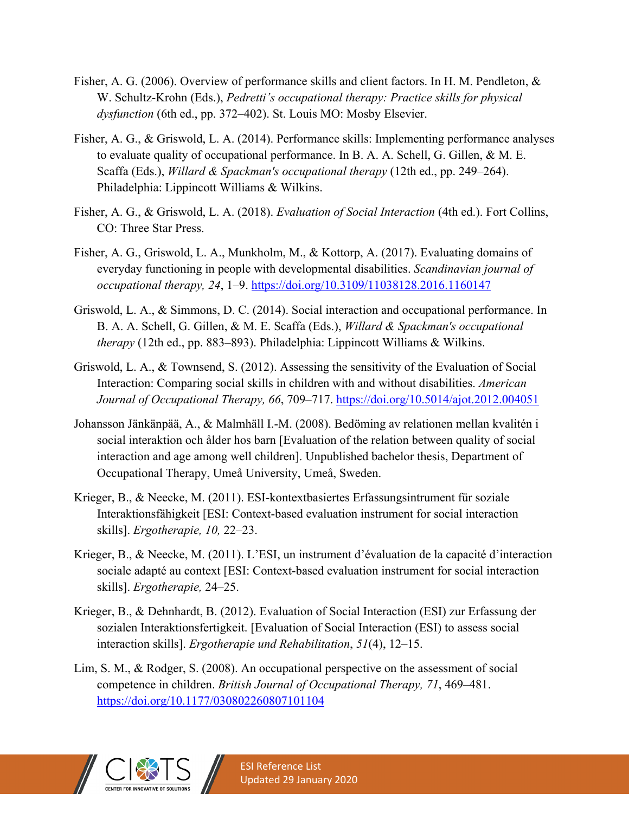- Fisher, A. G. (2006). Overview of performance skills and client factors. In H. M. Pendleton, & W. Schultz-Krohn (Eds.), *Pedretti's occupational therapy: Practice skills for physical dysfunction* (6th ed., pp. 372–402). St. Louis MO: Mosby Elsevier.
- Fisher, A. G., & Griswold, L. A. (2014). Performance skills: Implementing performance analyses to evaluate quality of occupational performance. In B. A. A. Schell, G. Gillen, & M. E. Scaffa (Eds.), *Willard & Spackman's occupational therapy* (12th ed., pp. 249–264). Philadelphia: Lippincott Williams & Wilkins.
- Fisher, A. G., & Griswold, L. A. (2018). *Evaluation of Social Interaction* (4th ed.). Fort Collins, CO: Three Star Press.
- Fisher, A. G., Griswold, L. A., Munkholm, M., & Kottorp, A. (2017). Evaluating domains of everyday functioning in people with developmental disabilities. *Scandinavian journal of occupational therapy, 24*, 1–9. https://doi.org/10.3109/11038128.2016.1160147
- Griswold, L. A., & Simmons, D. C. (2014). Social interaction and occupational performance. In B. A. A. Schell, G. Gillen, & M. E. Scaffa (Eds.), *Willard & Spackman's occupational therapy* (12th ed., pp. 883–893). Philadelphia: Lippincott Williams & Wilkins.
- Griswold, L. A., & Townsend, S. (2012). Assessing the sensitivity of the Evaluation of Social Interaction: Comparing social skills in children with and without disabilities. *American Journal of Occupational Therapy, 66, 709–717.* https://doi.org/10.5014/ajot.2012.004051
- Johansson Jänkänpää, A., & Malmhäll I.-M. (2008). Bedöming av relationen mellan kvalitén i social interaktion och ålder hos barn [Evaluation of the relation between quality of social interaction and age among well children]. Unpublished bachelor thesis, Department of Occupational Therapy, Umeå University, Umeå, Sweden.
- Krieger, B., & Neecke, M. (2011). ESI-kontextbasiertes Erfassungsintrument für soziale Interaktionsfähigkeit [ESI: Context-based evaluation instrument for social interaction skills]. *Ergotherapie, 10,* 22–23.
- Krieger, B., & Neecke, M. (2011). L'ESI, un instrument d'évaluation de la capacité d'interaction sociale adapté au context [ESI: Context-based evaluation instrument for social interaction skills]. *Ergotherapie,* 24–25.
- Krieger, B., & Dehnhardt, B. (2012). Evaluation of Social Interaction (ESI) zur Erfassung der sozialen Interaktionsfertigkeit. [Evaluation of Social Interaction (ESI) to assess social interaction skills]. *Ergotherapie und Rehabilitation*, *51*(4), 12–15.
- Lim, S. M., & Rodger, S. (2008). An occupational perspective on the assessment of social competence in children. *British Journal of Occupational Therapy, 71*, 469–481. https://doi.org/10.1177/030802260807101104